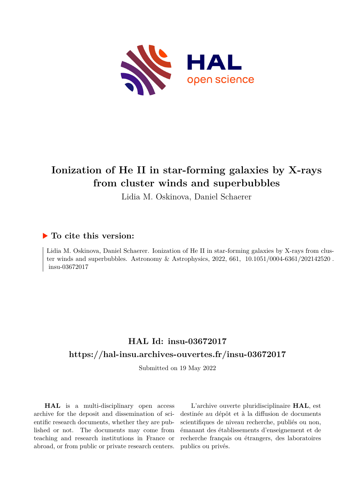

# **Ionization of He II in star-forming galaxies by X-rays from cluster winds and superbubbles**

Lidia M. Oskinova, Daniel Schaerer

## **To cite this version:**

Lidia M. Oskinova, Daniel Schaerer. Ionization of He II in star-forming galaxies by X-rays from cluster winds and superbubbles. Astronomy & Astrophysics, 2022, 661,  $10.1051/0004-6361/202142520$ . insu-03672017

## **HAL Id: insu-03672017 <https://hal-insu.archives-ouvertes.fr/insu-03672017>**

Submitted on 19 May 2022

**HAL** is a multi-disciplinary open access archive for the deposit and dissemination of scientific research documents, whether they are published or not. The documents may come from teaching and research institutions in France or abroad, or from public or private research centers.

L'archive ouverte pluridisciplinaire **HAL**, est destinée au dépôt et à la diffusion de documents scientifiques de niveau recherche, publiés ou non, émanant des établissements d'enseignement et de recherche français ou étrangers, des laboratoires publics ou privés.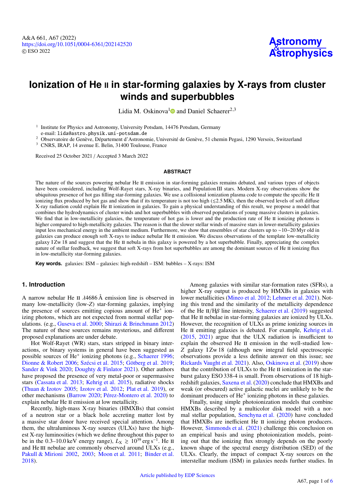## **Ionization of He II** in star-forming galaxies by X-rays from cluster **winds and superbubbles**

Lidia M. Oskinova<sup>1</sup><sup>o</sup> and Daniel Schaerer<sup>2,3</sup>

<sup>1</sup> Institute for Physics and Astronomy, University Potsdam, 14476 Potsdam, Germany e-mail: [lida@astro.physik.uni-potsdam.de](mailto:lida@astro.physik.uni-potsdam.de)

<sup>2</sup> Observatoire de Genève, Département d'Astronomie, Université de Genève, 51 chemin Pegasi, 1290 Versoix, Switzerland

<sup>3</sup> CNRS, IRAP, 14 avenue E. Belin, 31400 Toulouse, France

Received 25 October 2021 / Accepted 3 March 2022

#### **ABSTRACT**

The nature of the sources powering nebular He II emission in star-forming galaxies remains debated, and various types of objects have been considered, including Wolf-Rayet stars, X-ray binaries, and Population III stars. Modern X-ray observations show the ubiquitous presence of hot gas filling star-forming galaxies. We use a collisional ionization plasma code to compute the specific He II ionizing flux produced by hot gas and show that if its temperature is not too high ( $\leq 2.5$  MK), then the observed levels of soft diffuse X-ray radiation could explain He II ionization in galaxies. To gain a physical understanding of this result, we propose a model that combines the hydrodynamics of cluster winds and hot superbubbles with observed populations of young massive clusters in galaxies. We find that in low-metallicity galaxies, the temperature of hot gas is lower and the production rate of He II ionizing photons is higher compared to high-metallicity galaxies. The reason is that the slower stellar winds of massive stars in lower-metallicity galaxies input less mechanical energy in the ambient medium. Furthermore, we show that ensembles of star clusters up to ∼10−20 Myr old in galaxies can produce enough soft X-rays to induce nebular He II emission. We discuss observations of the template low-metallicity galaxy I Zw 18 and suggest that the He II nebula in this galaxy is powered by a hot superbubble. Finally, appreciating the complex nature of stellar feedback, we suggest that soft X-rays from hot superbubbles are among the dominant sources of He II ionizing flux in low-metallicity star-forming galaxies.

**Key words.** galaxies: ISM – galaxies: high-redshift – ISM: bubbles – X-rays: ISM

### **1. Introduction**

A narrow nebular He II  $\lambda$ 4686 Å emission line is observed in many low-metallicity (low-*Z*) star-forming galaxies, implying the presence of sources emitting copious amount of He<sup>+</sup> ionizing photons, which are not expected from normal stellar populations. (e.g., Guseva et al. 2000; Shirazi & Brinchmann 2012) The nature of these sources remains mysterious, and different proposed explanations are under debate.

Hot Wolf-Rayet (WR) stars, stars stripped in binary interactions, or binary systems in general have been suggested as possible sources of He<sup>+</sup> ionizing photons (e.g., Schaerer 1996; Dionne & Robert 2006; Szécsi et al. 2015; Götberg et al. 2019; Sander & Vink 2020; Doughty & Finlator 2021). Other authors have proposed the presence of very metal-poor or supermassive stars (Cassata et al. 2013; Kehrig et al. 2015), radiative shocks (Thuan & Izotov 2005; Izotov et al. 2012; Plat et al. 2019), or other mechanisms (Barrow 2020; Pérez-Montero et al. 2020) to explain nebular He II emission at low metallicity.

Recently, high-mass X-ray binaries (HMXBs) that consist of a neutron star or a black hole accreting matter lost by a massive star donor have received special attention. Among them, the ultraluminous X-ray sources (ULXs) have the highest X-ray luminosities (which we define throughout this paper to be in the 0.3–10.0 keV energy range),  $L_X \ge 10^{39}$  erg s<sup>-1</sup>. He ii and He III nebulae are commonly observed around ULXs (e.g., Pakull & Mirioni 2002, 2003; Moon et al. 2011; Binder et al. 2018).

Among galaxies with similar star-formation rates (SFRs), a higher X-ray output is produced by HMXBs in galaxies with lower metallicities (Mineo et al. 2012; Lehmer et al. 2021). Noting this trend and the similarity of the metallicity dependence of the He II/H $\beta$  line intensity, Schaerer et al. (2019) suggested that He II nebulae in star-forming galaxies are ionized by ULXs. However, the recognition of ULXs as prime ionizing sources in He II emitting galaxies is debated. For example, Kehrig et al. (2015, 2021) argue that the ULX radiation is insufficient to explain the observed He II emission in the well-studied low-*Z* galaxy I Zw 18 (although new integral field spectroscopic observations provide a less definite answer on this issue; see Rickards Vaught et al. 2021). Also, Oskinova et al. (2019) show that the contribution of  $ULXs$  to the He II ionization in the starburst galaxy ESO 338-4 is small. From observations of 18 highredshift galaxies, Saxena et al. (2020) conclude that HMXBs and weak (or obscured) active galactic nuclei are unlikely to be the dominant producers of He<sup>+</sup> ionizing photons in these galaxies.

Finally, using simple photoionization models that combine HMXBs described by a multicolor disk model with a normal stellar population, Senchyna et al. (2020) have concluded that HMXBs are inefficient He II ionizing photon producers. However, Simmonds et al. (2021) challenge this conclusion on an empirical basis and using photoionization models, pointing out that the ionizing flux strongly depends on the poorly known shape of the spectral energy distribution (SED) of the ULXs. Clearly, the impact of compact X-ray sources on the interstellar medium (ISM) in galaxies needs further studies. In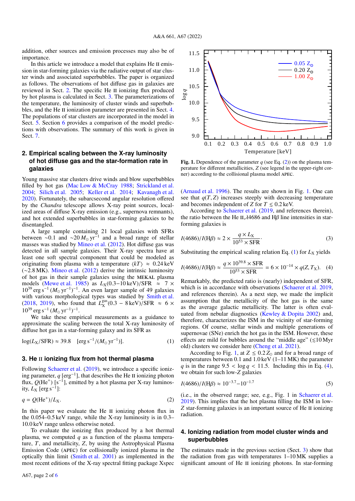addition, other sources and emission processes may also be of importance.

In this article we introduce a model that explains He II emission in star-forming galaxies via the radiative output of star cluster winds and associated superbubbles. The paper is organized as follows. The observations of hot diffuse gas in galaxies are reviewed in Sect. 2. The specific He II ionizing flux produced by hot plasma is calculated in Sect. 3. The parameterizations of the temperature, the luminosity of cluster winds and superbubbles, and the He II ionization parameter are presented in Sect. 4. The populations of star clusters are incorporated in the model in Sect. 5. Section 6 provides a comparison of the model predictions with observations. The summary of this work is given in Sect. 7.

## **2. Empirical scaling between the X-ray luminosity of hot diffuse gas and the star-formation rate in galaxies**

Young massive star clusters drive winds and blow superbubbles filled by hot gas (Mac Low & McCray 1988; Strickland et al. 2004; Silich et al. 2005; Keller et al. 2014; Kavanagh et al. 2020). Fortunately, the subarcsecond angular resolution offered by the *Chandra* telescope allows X-ray point sources, localized areas of diffuse X-ray emission (e.g., supernova remnants), and hot extended superbubbles in star-forming galaxies to be disentangled.

A large sample containing 21 local galaxies with SFRs between ~0.1 and ~20  $M_{\odot}$  yr<sup>-1</sup> and a broad range of stellar masses was studied by Mineo et al. (2012). Hot diffuse gas was masses was studied by Mineo et al. (2012). Hot diffuse gas was detected in all sample galaxies. Their X-ray spectra have at least one soft spectral component that could be modeled as originating from plasma with a temperature  $\langle kT \rangle \approx 0.24 \text{ keV}$ (∼2.8 MK). Mineo et al. (2012) derive the intrinsic luminosity of hot gas in their sample galaxies using the mekal plasma models (Mewe et al. 1985) as  $L_X(0.3-10 \text{ keV})/SFR$  ≈ 7 ×  $10^{39} \text{ erg s}^{-1} (M_{\odot} \text{ yr}^{-1})^{-1}$ . An even larger sample of 49 galaxies with various morphological types was studied by Smith et al. (2018, 2019), who found that  $L_{\rm x}^{\rm gas}$  $\chi^{\text{gas}}(0.3 - 8 \,\text{keV})/\text{SFR} \approx 6 \times$  $10^{39}$  erg s<sup>-1</sup> ( $M_{\odot}$  yr<sup>-1</sup>)<sup>-1</sup>.

We take these empirical measurements as a guidance to approximate the scaling between the total X-ray luminosity of diffuse hot gas in a star-forming galaxy and its SFR as

$$
\log(L_X/\text{SFR}) \approx 39.8 \quad [\text{erg s}^{-1}/(M_\odot \text{ yr}^{-1})]. \tag{1}
$$

#### **3. He II ionizing flux from hot thermal plasma**

Following Schaerer et al. (2019), we introduce a specific ionizing parameter,  $q$  [erg<sup>-1</sup>], that describes the He II ionizing photon flux,  $Q(He^+)$  [s<sup>-1</sup>], emitted by a hot plasma per X-ray luminosity,  $L_X$  [erg s<sup>-1</sup>]:

$$
q = Q(\text{He}^+)/L_X. \tag{2}
$$

In this paper we evaluate the He II ionizing photon flux in the 0.054–0.5 keV range, while the X-ray luminosity is in 0.3– <sup>10</sup>.0 keV range unless otherwise noted.

To evaluate the ionizing flux produced by a hot thermal plasma, we computed *q* as a function of the plasma temperature, *T*, and metallicity, *Z*, by using the Astrophysical Plasma Emission Code (apec) for collisionally ionized plasma in the optically thin limit (Smith et al. 2001) as implemented in the most recent editions of the X-ray spectral fitting package Xspec



Fig. 1. Dependence of the parameter  $q$  (see Eq. (2)) on the plasma temperature for different metallicities, *Z* (see legend in the upper-right corner) according to the collisional plasma model apec.

(Arnaud et al. 1996). The results are shown in Fig. 1. One can see that  $q(T, Z)$  increases steeply with decreasing temperature and becomes independent of *Z* for  $T \le 0.2$  keV.

According to Schaerer et al. (2019, and references therein), the ratio between the He II, $\lambda$ 4686 and H $\beta$  line intensities in starforming galaxies is

$$
I(4686)/I(H\beta) \approx 2 \times \frac{q \times L_X}{10^{53} \times \text{SFR}}.\tag{3}
$$

Substituting the empirical scaling relation Eq.  $(1)$  for  $L_X$  yields

$$
I(4686)/I(H\beta) \approx \frac{q \times 10^{39.8} \times \text{SFR}}{10^{53} \times \text{SFR}} = 6 \times 10^{-14} \times q(Z, T_X). \tag{4}
$$

Remarkably, the predicted ratio is (nearly) independent of SFR, which is in accordance with observations (Schaerer et al. 2019, and references therein). As a next step, we made the implicit assumption that the metallicity of the hot gas is the same as the average galactic metallicity. The latter is often evaluated from nebular diagnostics (Kewley & Dopita 2002) and, therefore, characterizes the ISM in the vicinity of star-forming regions. Of course, stellar winds and multiple generations of supernovae (SNe) enrich the hot gas in the ISM. However, these effects are mild for bubbles around the "middle age"  $(\leq 10$  Myr old) clusters we consider here (Cheng et al. 2021).

According to Fig. 1, at  $Z \leq 0.2 Z_{\odot}$  and for a broad range of temperatures between 0.1 and 1.0 keV (1–11 MK) the parameter *q* is in the range  $9.5 < log q < 11.5$ . Including this in Eq. (4), we obtain for such low-*Z* galaxies

$$
I(4686)/I(H\beta) \approx 10^{-3.7} - 10^{-1.7}
$$
 (5)

(i.e., in the observed range; see, e.g., Fig. 1 in Schaerer et al. 2019). This implies that the hot plasma filling the ISM in low-*Z* star-forming galaxies is an important source of He II ionizing radiation.

### **4. Ionizing radiation from model cluster winds and superbubbles**

The estimates made in the previous section (Sect. 3) show that the radiation from gas with temperatures 1–10 MK supplies a significant amount of He II ionizing photons. In star-forming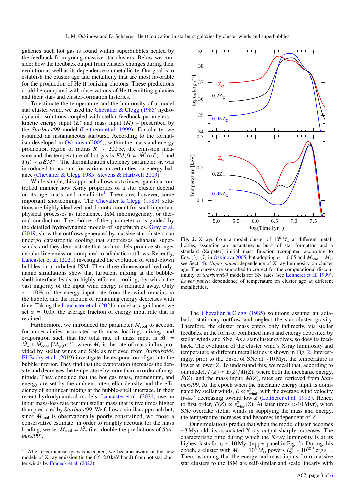galaxies such hot gas is found within superbubbles heated by the feedback from young massive star clusters. Below we consider how the feedback output from clusters changes during their evolution as well as its dependence on metallicity. Our goal is to establish the cluster age and metallicity that are most favorable for the production of He II ionizing photons. These predictions could be compared with observations of He II emitting galaxies and their star- and cluster-formation histories.

To estimate the temperature and the luminosity of a model star cluster wind, we used the Chevalier & Clegg (1985) hydrodynamic solutions coupled with stellar feedback parameters – kinetic energy input  $(E)$  and mass input  $(M)$  – prescribed by the *Starburst99* model (Leitherer et al. 1999). For clarity, we assumed an instantaneous starburst. According to the formalism developed in Oskinova (2005), within the mass and energy production region of radius  $R \sim 200 \,\text{pc}$ , the emission measure and the temperature of hot gas is  $EM(t) \propto \dot{M}^3(\alpha \dot{E})^{-1}$  and  $T(t) \propto \alpha \dot{E} \dot{M}^{-1}$ . The thermalization efficiency parameter  $\alpha$  was  $T(t) \propto \alpha E \dot{M}^{-1}$ . The thermalization efficiency parameter,  $\alpha$ , was introduced to account for various uncertainties on energy balintroduced to account for various uncertainties on energy balance (Chevalier & Clegg 1985; Stevens & Hartwell 2003).

While simple, this approach allows us to investigate in a controlled manner how X-ray properties of a star cluster depend on its age, mass, and metallicity<sup>1</sup>. There are, however, some important shortcomings. The Chevalier & Clegg  $(1985)$  solutions are highly idealized and do not account for such important physical processes as turbulence, ISM inhomogeneity, or thermal conduction. The choice of the parameter  $\alpha$  is guided by the detailed hydrodynamic models of superbubbles. Gray et al. (2019) show that outflows generated by massive star clusters can undergo catastrophic cooling that suppresses adiabatic superwinds, and they demonstrate that such models produce stronger nebular line emission compared to adiabatic outflows. Recently, Lancaster et al. (2021) investigated the evolution of wind-blown bubbles in a turbulent ISM. Their three-dimensional hydrodynamic simulations show that turbulent mixing at the bubbleshell interface leads to highly efficient cooling, by which the vast majority of the input wind energy is radiated away. Only  $~\sim$ 1−10% of the energy input rate from the wind remains in the bubble, and the fraction of remaining energy decreases with time. Taking the Lancaster et al. (2021) model as a guidance, we set  $\alpha = 0.05$ , the average fraction of energy input rate that is retained.

Furthermore, we introduced the parameter  $\dot{M}_{\rm cool}$  to account for uncertainties associated with mass loading, mixing, and evaporation such that the total rate of mass input is  $\dot{M}$  =  $\dot{M}_* + \dot{M}_{\text{cool}}$  [ $M_{\odot}$  yr<sup>-1</sup>], where  $\dot{M}_*$  is the rate of mass influx provided by stellar winds and SNe as retrieved from *Starburst99*. El-Badry et al. (2019) investigate the evaporation of gas into the bubble interior. They find that the evaporation increases the density and decreases the temperature by more than an order of magnitude. They conclude that the hot gas mass, momentum, and energy are set by the ambient interstellar density and the efficiency of nonlinear mixing at the bubble-shell interface. In their recent hydrodynamical models, Lancaster et al. (2021) use an input mass-loss rate per unit stellar mass that is five times higher than predicted by *Starburst99*. We follow a similar approach but, since  $\dot{M}_{\text{cool}}$  is observationally poorly constrained, we chose a conservative estimate: in order to roughly account for the mass loading, we set  $\dot{M}_{\text{cool}} = \dot{M}_{*}$  (i.e., double the predictions of *Starburst99*).



Fig. 2. X-rays from a model cluster of  $10^6 M_{\odot}$  at different metallicities, assuming an instantaneous burst of star formation and a standard (Salpeter) initial mass function (computed according to Eqs. (3)–(7) in Oskinova 2005, but adopting  $\alpha = 0.05$  and  $\dot{M}_{\text{cool}} = \dot{M}_{*}$ ;<br>see Sect 4) *Unner nanel*: dependence of X-ray luminosity on cluster see Sect. 4). *Upper panel*: dependence of X-ray luminosity on cluster age. The curves are smoothed to correct for the computational discontinuity of *Starburst99* models for SN rates (see Leitherer et al. 1999). *Lower panel*: dependence of temperature on cluster age at different metallicities.

The Chevalier & Clegg (1985) solutions assume an adiabatic, stationary outflow and neglect the star cluster gravity. Therefore, the cluster mass enters only indirectly, via stellar feedback in the form of combined mass and energy deposited by stellar winds and SNe. As a star cluster evolves, so does its feedback. The evolution of the cluster wind's X-ray luminosity and temperature at different metallicities is shown in Fig. 2. Interestingly, prior to the onset of SNe at ∼10 Myr, the temperature is lower at lower *Z*. To understand this, we recall that, according to our model,  $T(Z) \propto E(Z)/M(Z)$ , where both the mechanic energy,  $E(Z)$ , and the mass input,  $M(Z)$ , rates are retrieved from *Starburst99*. At the epoch when the mechanic energy input is dominated by stellar winds,  $\vec{E} \propto v_{wind}^2$ , with the average wind velocity  $(v_{wind})$ , decreasing toward low Z (Leitherer et al. 1992). Hence  $(v_{wind})$  decreasing toward low *Z* (Leitherer et al. 1992). Hence, to first order  $T(Z) \propto v^2$ . (*Z*) At later times (>10 Myr) when to first order,  $T(\bar{Z}) \propto v_{wind}^2(Z)$ . At later times (>10 Myr), when SNe overtake stellar winds in supplying the mass and energy SNe overtake stellar winds in supplying the mass and energy, the temperature increases and becomes independent of *Z*.

Our simulations predict that when the model cluster becomes ∼3 Myr old, its associated X-ray output sharply increases. The characteristic time during which the X-ray luminosity is at its highest lasts for  $t_c \sim 10 \text{ Myr}$  (upper panel in Fig. 2). During this epoch, a cluster with  $M_{\text{cl}} = 10^6 M_{\odot}$  powers  $L_{\text{X}}^{\text{cl}} \sim 10^{38.5} \text{ erg s}^{-1}$ . Then, assuming that the energy and mass inputs from massive star clusters to the ISM are self-similar and scale linearly with

After this manuscript was accepted, we became aware of the new models of X-ray emission (in the 0.5–2.0 keV band) from hot star cluster winds by Franeck et al. (2022).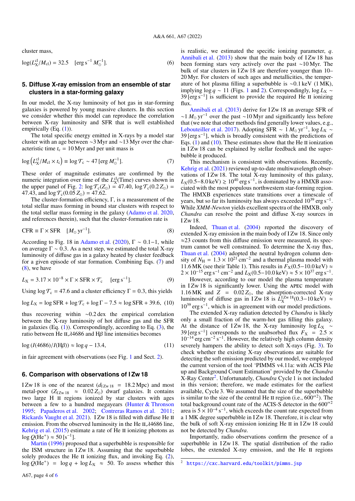cluster mass,

$$
\log(L_X^{\text{cl}}/M_{\text{cl}}) = 32.5 \quad \text{[erg s}^{-1} M_{\odot}^{-1}]. \tag{6}
$$

## **5. Diffuse X-ray emission from an ensemble of star clusters in a star-forming galaxy**

In our model, the X-ray luminosity of hot gas in star-forming galaxies is powered by young massive clusters. In this section we consider whether this model can reproduce the correlation between X-ray luminosity and SFR that is well established empirically (Eq.  $(1)$ ).

The total specific energy emitted in X-rays by a model star cluster with an age between ∼3 Myr and ∼13 Myr over the characteristic time  $t_c = 10$  Myr and per unit mass is

$$
\log \left( L_X^{cl} / M_{cl} \times t_c \right) \equiv \log \mathcal{T}_c \sim 47 \left[ \text{erg } M_\odot^{-1} \right]. \tag{7}
$$

These order of magnitude estimates are confirmed by the numeric integration over time of the  $L^{\text{cl}}_{\text{X}}(\text{Time})$  curves shown in the upper panel of Fig. 2:  $\log \mathcal{T}_{c}(Z_{\odot}) = 47.40$ ,  $\log \mathcal{T}_{c}(0.2 Z_{\odot}) =$ 47.43, and  $\log T_c(0.05 Z_{\odot}) = 47.62$ .

The cluster-formation efficiency, Γ, is a measurement of the total stellar mass forming in bound star clusters with respect to the total stellar mass forming in the galaxy (Adamo et al. 2020, and references therein), such that the cluster-formation rate is

$$
CFR \equiv \Gamma \times SFR \quad [M_{\odot} \text{ yr}^{-1}]. \tag{8}
$$

According to Fig. 18 in Adamo et al. (2020),  $\Gamma \sim 0.1-1$ , while on average  $\Gamma \sim 0.3$ . As a next step, we estimated the total X-ray luminosity of diffuse gas in a galaxy heated by cluster feedback for a given episode of star formation. Combining Eqs. (7) and  $(8)$ , we have

$$
L_X = 3.17 \times 10^{-8} \times \Gamma \times \text{SFR} \times \mathcal{T}_c \quad \text{[erg s}^{-1}\text{]}.
$$
 (9)

Using  $\log \mathcal{T}_{c} = 47.6$  and a cluster efficiency  $\Gamma = 0.3$ , this yields

 $\log L_X = \log \text{SFR} + \log \mathcal{T}_c + \log \Gamma - 7.5 \approx \log \text{SFR} + 39.6$ , (10)

thus recovering within <sup>∼</sup>0.2 dex the empirical correlation between the X-ray luminosity of hot diffuse gas and the SFR in galaxies  $(Eq. (1))$ . Correspondingly, according to Eq.  $(3)$ , the ratio between He II, $λ$ 4686 and H $β$  line intensities becomes

$$
\log (I(4686)/I(H\beta)) \approx \log q - 13.4,\tag{11}
$$

in fair agreement with observations (see Fig. 1 and Sect. 2).

### **6. Comparison with observations of I Zw 18**

I Zw 18 is one of the nearest  $(d_{I Zw 18} = 18.2 \text{ Mpc})$  and most metal-poor ( $Z_{IZw 18} \approx 0.02 Z_{\odot}$ ) dwarf galaxies. It contains two large H II regions ionized by star clusters with ages between a few to a hundred megayears (Hunter & Thronson 1995; Papaderos et al. 2002; Contreras Ramos et al. 2011; Rickards Vaught et al. 2021). I Zw 18 is filled with diffuse He II emission. From the observed luminosity in the He  $II, \lambda$ 4686 line, Kehrig et al.  $(2015)$  estimate a rate of He II ionizing photons as  $log Q(He^+) \approx 50 [s^{-1}]$ .

Martin (1996) proposed that a superbubble is responsible for the ISM structure in IZw 18. Assuming that the superbubble solely produces the He II ionizing flux, and invoking Eq.  $(2)$ ,  $\log Q(\hat{H}e^+) = \log q + \log L_X \approx 50$ . To assess whether this

is realistic, we estimated the specific ionizing parameter, *q*. Annibali et al.  $(2013)$  show that the main body of IZw 18 has been forming stars very actively over the past ∼10 Myr. The bulk of star clusters in IZw 18 are therefore younger than 10– 20 Myr. For clusters of such ages and metallicities, the temperature of hot plasma filling a superbubble is <sup>∼</sup>0.1 keV (1 MK), implying log *q* ∼ 11 (Figs. 1 and 2). Correspondingly, log  $L_X \sim$  $39 \text{ [erg s}^{-1}\text{]}$  is sufficient to provide the required He II ionizing flux.

Annibali et al. (2013) derive for I Zw 18 an average SFR of  $\sim$ 1  $M_{\odot}$  yr<sup>-1</sup> over the past ~10 Myr and significantly less before that (we note that other methods find generally lower values, e.g., Lebouteiller et al. 2017). Adopting SFR  $\sim 1 M_{\odot} \text{ yr}^{-1}$ , log *L*<sub>X</sub> ∼ 39 [erg s<sup>-1</sup>], which is broadly consistent with the predictions of Eqs.  $(1)$  and  $(10)$ . These estimates show that the He II ionization in I Zw 18 can be explained by stellar feedback and the superbubble it produced.

This mechanism is consistent with observations. Recently, Kehrig et al. (2021) reviewed up-to-date multiwavelength observations of I Zw 18. The total X-ray luminosity of this galaxy,  $L_X(0.5-8.0 \,\text{keV}) \ge 10^{40} \,\text{erg s}^{-1}$ , is dominated by a HMXB associated with the most populous northwestern star-forming region ciated with the most populous northwestern star-forming region. The HMXB experiences state transitions over a timescale of years, but so far its luminosity has always exceeded 10<sup>39</sup> erg s<sup>-1</sup>. While *XMM-Newton* yields excellent spectra of the HMXB, only *Chandra* can resolve the point and diffuse X-ray sources in I Zw 18.

Indeed, Thuan et al. (2004) reported the discovery of extended X-ray emission in the main body of I Zw 18. Since only  $\approx$ 23 counts from this diffuse emission were measured, its spectrum cannot be well constrained. To determine the X-ray flux, Thuan et al. (2004) adopted the neutral hydrogen column density of  $N_H = 1.3 \times 10^{21}$  cm<sup>-2</sup> and a thermal plasma model with 11.6 MK (see their Table 1). This results in  $F_v(0.5-10.0 \text{ keV}) \approx$ 11.6 MK (see their Table 1). This results in  $F_X(0.5-10.0 \text{ keV}) \approx 2 \times 10^{-15}$  erg s<sup>-1</sup> cm<sup>-2</sup> and  $I_X(0.5-10.0 \text{ keV}) \approx 5 \times 10^{37}$  erg s<sup>-1</sup>  $2 \times 10^{-15}$  erg s<sup>-1</sup> cm<sup>-2</sup> and  $L_X(0.5-10.0 \text{ keV}) \approx 5 \times 10^{37}$  erg s<sup>-1</sup>.<br>However, according to our model the plasma temperature

However, according to our model the plasma temperature in IZw 18 is significantly lower. Using the APEC model with 1.16 MK and *Z* = 0.02 *Z*<sub>⊙</sub>, the absorption-corrected X-ray luminosity of diffuse gas in IZw 18 is  $L_{\text{X}}^{12w}$ <sup>18</sup>(0.3−10 keV) ≈ 10<sup>39</sup> erg s<sup>-1</sup> which is in agreement with our model predictions 10<sup>39</sup> erg s<sup>-1</sup>, which is in agreement with our model predictions.

The extended X-ray radiation detected by *Chandra* is likely only a small fraction of the warm-hot gas filling this galaxy. At the distance of IZw 18, the X-ray luminosity log *L*<sub>X</sub> ∼ 39 [erg s<sup>-1</sup>] corresponds to the unabsorbed flux  $F_X = 2.5 \times 10^{-14}$  erg cm<sup>-2</sup> s<sup>-1</sup>. However the relatively high column density  $10^{-14}$  erg cm<sup>-2</sup> s<sup>-1</sup>. However, the relatively high column density severely hampers the ability to detect soft X-rays (Fig. 3). To check whether the existing X-ray observations are suitable for detecting the soft emission predicted by our model, we employed the current version of the tool 'PIMMS v4.11a: with ACIS Pile up and Background Count Estimation' provided by the *Chandra* X-Ray Center<sup>2</sup>. Unfortunately, *Chandra* Cycle 1 is not included in this version; therefore, we made estimates for the earliest available, Cycle 3. We assumed that the size of the superbubble is similar to the size of the central He II region (i.e.,  $600''^2$ ). The total background count rate of the ACIS-S detector in the  $600''<sup>2</sup>$ area is  $5 \times 10^{-4}$  s<sup>-1</sup>, which exceeds the count rate expected from a 1 MK degree superbubble in I Zw 18. Therefore, it is clear why the bulk of soft X-ray emission ionizing He  $\scriptstyle\rm II$  in IZw 18 could not be detected by *Chandra*.

Importantly, radio observations confirm the presence of a superbubble in  $IZw 18$ . The spatial distribution of the radio lobes, the extended X-ray emission, and the He II regions

<https://cxc.harvard.edu/toolkit/pimms.jsp>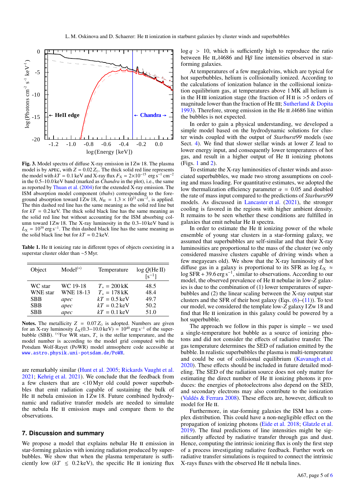

Fig. 3. Model spectra of diffuse X-ray emission in I Zw 18. The plasma model is by APEC, with  $Z = 0.02 Z_{\odot}$ . The thick solid red line represents the model with  $kT = 0.1$  keV and X-ray flux  $F_X = 2 \times 10^{-15}$  erg s<sup>-1</sup> cm<sup>-2</sup><br>in the 0.5–10.0 keV band (marked as *Chandra* in the plot) i.e., the same in the 0.5–10.0 keV band (marked as *Chandra* in the plot), i.e., the same as reported by Thuan et al. (2004) for the extended X-ray emission. The ISM absorption model component (*tbabs*) corresponding to the foreground absorption toward I Zw 18,  $N_H = 1.3 \times 10^{21}$  cm<sup>-2</sup>, is applied.<br>The thin dashed red line has the same meaning as the solid red line but The thin dashed red line has the same meaning as the solid red line but for  $kT = 0.2 \text{ keV}$ . The thick solid black line has the same meaning as the solid red line but without accounting for the ISM absorbing column toward I Zw 18. The X-ray luminosity in the 0.3-10 keV band is  $L_X = 10^{39}$  erg s<sup>-1</sup>. The thin dashed black line has the same meaning as the solid black line but for  $kT = 0.2 \text{ keV}$ .

Table 1. He II ionizing rate in different types of objects coexisting in a superstar cluster older than ∼5 Myr.

| Object          | $Model(*)$       | Temperature             | $log Q$ (He II)<br>$\lceil s^{-1} \rceil$ |
|-----------------|------------------|-------------------------|-------------------------------------------|
| WC star         | WC 19-18         | $T_* = 200 \text{ kK}$  | 48.5                                      |
| <b>WNE</b> star | <b>WNE 18-13</b> | $T_* = 178$ kK          | 48.4                                      |
| <b>SBB</b>      | apec             | $kT = 0.5 \text{ keV}$  | 49.7                                      |
| <b>SBB</b>      | apec             | $kT = 0.2 \text{ keV}$  | 50.2                                      |
| <b>SBB</b>      | apec             | $kT = 0.1 \,\text{keV}$ | 51.0                                      |

Notes. The metallicity  $Z = 0.07 Z_{\odot}$  is adopted. Numbers are given for an X-ray luminosity  $L_X(0.3-10.0 \text{ keV}) = 10^{40} \text{ erg s}^{-1}$  of the superbubble (SBB). <sup>(\*)</sup>For WR stars,  $T_*$  is the stellar temperature, and the model number is according to the model grid computed with the Potsdam Wolf-Rayet (PoWR) model atmsophere code accessible at <www.astro.physik.uni-potsdam.de/PoWR>.

are remarkably similar (Hunt et al. 2005; Rickards Vaught et al. 2021; Kehrig et al. 2021). We conclude that the feedback from a few clusters that are <10 Myr old could power superbubbles that emit radiation capable of sustaining the bulk of He II nebula emission in I Zw 18. Future combined hydrodynamic and radiative transfer models are needed to simulate the nebula He II emission maps and compare them to the observations.

#### **7. Discussion and summary**

We propose a model that explains nebular He II emission in star-forming galaxies with ionizing radiation produced by superbubbles. We show that when the plasma temperature is sufficiently low  $(kT \leq 0.2 \text{ keV})$ , the specific He II ionizing flux  $\log q > 10$ , which is sufficiently high to reproduce the ratio between He II, $\lambda$ 4686 and H $\beta$  line intensities observed in starforming galaxies.

At temperatures of a few megakelvins, which are typical for hot superbubbles, helium is collisionally ionized. According to the calculations of ionization balance in the collisional ionization equilibrium gas, at temperatures above 1 MK all helium is in the H III ionization stage (the fraction of H II is  $>$  5 orders of magnitude lower than the fraction of He III; Sutherland  $&$  Dopita 1993). Therefore, strong emission in the He II  $\lambda$ 4686 line within the bubbles is not expected.

In order to gain a physical understanding, we developed a simple model based on the hydrodynamic solutions for cluster winds coupled with the output of *Starburst99* models (see Sect. 4). We find that slower stellar winds at lower *Z* lead to lower energy input, and consequently lower temperatures of hot gas, and result in a higher output of He II ionizing photons (Figs. 1 and 2).

To estimate the X-ray luminosities of cluster winds and associated superbubbles, we made two strong assumptions on cooling and mass loading. For quantitative estimates, we adopted the low thermalization efficiency parameter  $\alpha = 0.05$  and doubled the rate of mass input compared to the predictions of *Starburst99* models. As discussed in Lancaster et al. (2021), the stronger cooling is favored in the regions with higher ambient density. It remains to be seen whether these conditions are fulfilled in galaxies that emit nebular He ii spectra.

In order to estimate the He II ionizing power of the whole ensemble of young star clusters in a star-forming galaxy, we assumed that superbubbles are self-similar and that their X-ray luminosities are proportional to the mass of the cluster (we only considered massive clusters capable of driving winds when a few megayears old). We show that the X-ray luminosity of hot diffuse gas in a galaxy is proportional to its SFR as  $\log L_X \approx$ log SFR + 39.6 erg s<sup>-1</sup>, similar to observations. According to our model the observed prevalence of He II nebulae in low-Z galaxmodel, the observed prevalence of He II nebulae in low-Z galaxies is due to the combination of (1) lower temperatures of superbubbles and (2) the linear scaling between the X-ray output star clusters and the SFR of their host galaxy (Eqs.  $(6)$ – $(11)$ ). To test our model, we considered the template low-*Z* galaxy I Zw 18 and find that He II ionization in this galaxy could be powered by a hot superbubble.

The approach we follow in this paper is simple – we used a single-temperature hot bubble as a source of ionizing photons and did not consider the effects of radiative transfer. The gas temperature determines the SED of radiation emitted by the bubble. In realistic superbubbles the plasma is multi-temperature and could be out of collisional equilibrium (Kavanagh et al. 2020). These effects should be included in future detailed modeling. The SED of the radiation source does not only matter for estimating the direct number of He II ionizing photons it produces: the energies of photoelectrons also depend on the SED, and secondary electrons may also contribute to the ionization (Valdés & Ferrara 2008). These effects are, however, difficult to model for He II.

Furthermore, in star-forming galaxies the ISM has a complex distribution. This could have a non-negligible effect on the propagation of ionizing photons (Eide et al. 2018; Glatzle et al. 2019). The final predictions of line intensities might be significantly affected by radiative transfer through gas and dust. Hence, computing the intrinsic ionizing flux is only the first step of a process investigating radiative feedback. Further work on radiative transfer simulations is required to connect the intrinsic X-rays fluxes with the observed He II nebula lines.